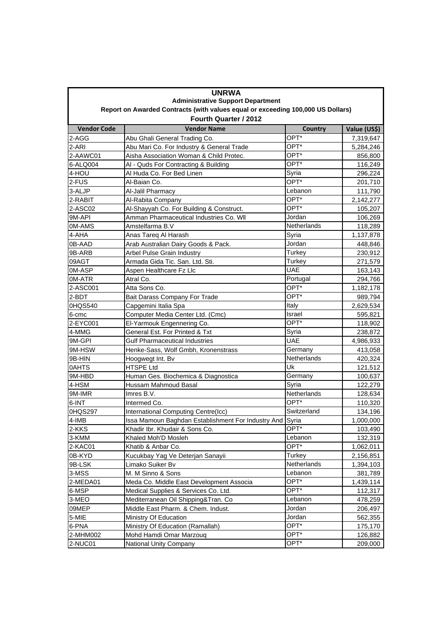| <b>UNRWA</b><br><b>Administrative Support Department</b><br>Report on Awarded Contracts (with values equal or exceeding 100,000 US Dollars) |                                                          |                     |                      |  |  |
|---------------------------------------------------------------------------------------------------------------------------------------------|----------------------------------------------------------|---------------------|----------------------|--|--|
|                                                                                                                                             |                                                          |                     |                      |  |  |
| <b>Vendor Code</b>                                                                                                                          | <b>Vendor Name</b>                                       | Country             | Value (US\$)         |  |  |
| 2-AGG                                                                                                                                       | Abu Ghali General Trading Co.                            | OPT*                | 7,319,647            |  |  |
| 2-ARI                                                                                                                                       | Abu Mari Co. For Industry & General Trade                | OPT*                | 5,284,246            |  |  |
| 2-AAWC01                                                                                                                                    | Aisha Association Woman & Child Protec.                  | OPT*                | 856,800              |  |  |
| 6-ALQ004                                                                                                                                    | AI - Quds For Contracting & Building                     | OPT*                | 116,249              |  |  |
| 4-HOU                                                                                                                                       | Al Huda Co. For Bed Linen                                | Syria               | 296,224              |  |  |
| 2-FUS                                                                                                                                       | Al-Baian Co.                                             | OPT*                | 201,710              |  |  |
| 3-ALJP                                                                                                                                      | Al-Jalil Pharmacy                                        | Lebanon             | 111,790              |  |  |
| 2-RABIT                                                                                                                                     | Al-Rabita Company                                        | OPT*                | 2,142,277            |  |  |
| 2-ASC02                                                                                                                                     | Al-Shayyah Co. For Building & Construct.                 | OPT*                | 105,207              |  |  |
| 9M-API                                                                                                                                      | Amman Pharmaceutical Industries Co. WII                  | Jordan              | 106,269              |  |  |
| 0M-AMS                                                                                                                                      | Amstelfarma B.V                                          | <b>Netherlands</b>  | 118,289              |  |  |
| 4-AHA                                                                                                                                       | Anas Tareq Al Harash                                     | Syria               | 1,137,878            |  |  |
| 0B-AAD                                                                                                                                      | Arab Australian Dairy Goods & Pack.                      | Jordan              | 448,846              |  |  |
| 9B-ARB                                                                                                                                      | Arbel Pulse Grain Industry                               | Turkey              | 230,912              |  |  |
| 09AGT                                                                                                                                       | Armada Gida Tic. San. Ltd. Sti.                          | Turkey              | 271,579              |  |  |
| 0M-ASP                                                                                                                                      | Aspen Healthcare Fz Llc                                  | <b>UAE</b>          | 163,143              |  |  |
| 0M-ATR                                                                                                                                      | Atral Co.                                                | Portugal            | 294,766              |  |  |
| 2-ASC001                                                                                                                                    | Atta Sons Co.                                            | OPT*                | 1,182,178            |  |  |
| 2-BDT                                                                                                                                       | Bait Darass Company For Trade                            | OPT*                | 989,794              |  |  |
| 0HQS540                                                                                                                                     | Capgemini Italia Spa                                     | Italy               | 2,629,534            |  |  |
| 6-cmc                                                                                                                                       | Computer Media Center Ltd. (Cmc)                         | Israel              | 595,821              |  |  |
| 2-EYC001                                                                                                                                    | El-Yarmouk Engennering Co.                               | OPT*                | 118,902              |  |  |
| 4-MMG                                                                                                                                       | General Est. For Printed & Txt                           | Syria               | 238,872              |  |  |
| 9M-GPI                                                                                                                                      | <b>Gulf Pharmaceutical Industries</b>                    | <b>UAE</b>          | 4,986,933            |  |  |
| 9M-HSW                                                                                                                                      | Henke-Sass, Wolf Gmbh, Kronenstrass                      | Germany             | 413,058              |  |  |
| 9B-HIN                                                                                                                                      | Hoogwegt Int. By                                         | Netherlands         | 420,324              |  |  |
| 0AHTS                                                                                                                                       | <b>HTSPE Ltd</b>                                         | Uk                  | 121,512              |  |  |
| 9M-HBD                                                                                                                                      | Human Ges. Biochemica & Diagnostica                      | Germany             | 100,637              |  |  |
| 4-HSM                                                                                                                                       | Hussam Mahmoud Basal                                     | Syria               | 122,279              |  |  |
| 9M-IMR                                                                                                                                      | Imres B.V.                                               | Netherlands<br>OPT* | 128,634              |  |  |
| 6-INT                                                                                                                                       | Intermed Co.                                             | Switzerland         | 110,320              |  |  |
| 0HQS297                                                                                                                                     | International Computing Centre(Icc)                      |                     | 134,196              |  |  |
| 4-IMB                                                                                                                                       | Issa Mamoun Baghdan Establishment For Industry And Syria | OPT*                | 1,000,000            |  |  |
| 2-KKS                                                                                                                                       | Khadir Ibr. Khudair & Sons Co.                           | Lebanon             | 103,490              |  |  |
| 3-KMM                                                                                                                                       | Khaled Moh'D Mosleh                                      | OPT*                | 132,319              |  |  |
| 2-KAC01                                                                                                                                     | Khatib & Anbar Co.                                       | Turkey              | 1,062,011            |  |  |
| 0B-KYD                                                                                                                                      | Kucukbay Yag Ve Deterjan Sanayii<br>Limako Suiker Bv     | Netherlands         | 2,156,851            |  |  |
| 9B-LSK<br>3-MSS                                                                                                                             | M. M Sinno & Sons                                        | Lebanon             | 1,394,103            |  |  |
|                                                                                                                                             | Meda Co. Middle East Development Associa                 | OPT*                | 381,789              |  |  |
| 2-MEDA01<br>6-MSP                                                                                                                           | Medical Supplies & Services Co. Ltd.                     | OPT*                | 1,439,114<br>112,317 |  |  |
| 3-MEO                                                                                                                                       | Mediterranean Oil Shipping&Tran. Co                      | Lebanon             | 478,259              |  |  |
| 09MEP                                                                                                                                       | Middle East Pharm. & Chem. Indust.                       | Jordan              | 206,497              |  |  |
| $5-MIE$                                                                                                                                     | Ministry Of Education                                    | Jordan              | 562,355              |  |  |
| 6-PNA                                                                                                                                       | Ministry Of Education (Ramallah)                         | OPT*                | 175,170              |  |  |
| 2-MHM002                                                                                                                                    | Mohd Hamdi Omar Marzouq                                  | OPT*                | 126,882              |  |  |
| 2-NUC01                                                                                                                                     | <b>National Unity Company</b>                            | OPT*                | 209,000              |  |  |
|                                                                                                                                             |                                                          |                     |                      |  |  |